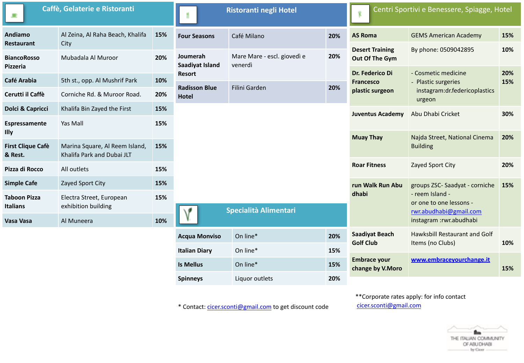| Caffè, Gelaterie e Ristoranti          |                                                              | <b>Ristoranti negli Hotel</b> |                                      | Centri Sportivi e Benessere, Spiagge, Hotel |                     |                                           |                                                                                                 |            |
|----------------------------------------|--------------------------------------------------------------|-------------------------------|--------------------------------------|---------------------------------------------|---------------------|-------------------------------------------|-------------------------------------------------------------------------------------------------|------------|
| <b>Andiamo</b><br><b>Restaurant</b>    | Al Zeina, Al Raha Beach, Khalifa<br>City                     | 15%                           | <b>Four Seasons</b>                  | Café Milano                                 | 20%                 | <b>AS Roma</b>                            | <b>GEMS American Academy</b>                                                                    | 15%        |
| <b>BiancoRosso</b><br>Pizzeria         | Mubadala Al Muroor                                           | 20%                           | Joumerah<br>Saadiyat Island          | Mare Mare - escl. giovedì e<br>venerdì      | 20%                 | <b>Desert Training</b><br>Out Of The Gym  | By phone: 0509042895                                                                            | 10%        |
| <b>Café Arabia</b>                     | 5th st., opp. Al Mushrif Park                                | 10%                           | Resort                               |                                             |                     | Dr. Federico Di<br><b>Francesco</b>       | - Cosmetic medicine<br><b>Plastic surgeries</b>                                                 | 20%<br>15% |
| Cerutti il Caffè                       | Corniche Rd. & Muroor Road.                                  | 20%                           | <b>Radisson Blue</b><br><b>Hotel</b> | Filini Garden                               | 20%                 | plastic surgeon                           | instagram:dr.federicoplastics<br>urgeon                                                         |            |
| Dolci & Capricci                       | Khalifa Bin Zayed the First                                  | 15%                           |                                      |                                             |                     | <b>Juventus Academy</b>                   | Abu Dhabi Cricket                                                                               | 30%        |
| Espressamente<br>Illy                  | Yas Mall                                                     | 15%                           |                                      |                                             |                     |                                           |                                                                                                 |            |
| <b>First Clique Cafè</b><br>& Rest.    | Marina Square, Al Reem Island,<br>Khalifa Park and Dubai JLT | 15%                           |                                      |                                             |                     | <b>Muay Thay</b>                          | Najda Street, National Cinema<br><b>Building</b>                                                | 20%        |
| Pizza di Rocco                         | All outlets                                                  | 15%                           |                                      |                                             | <b>Roar Fitness</b> | Zayed Sport City                          | 20%                                                                                             |            |
| <b>Simple Cafe</b>                     | Zayed Sport City                                             | 15%                           |                                      |                                             |                     | run Walk Run Abu                          | groups ZSC-Saadyat - corniche                                                                   | 15%        |
| <b>Taboon Pizza</b><br><b>Italians</b> | Electra Street, European<br>exhibition building              | 15%                           | <b>Specialità Alimentari</b>         |                                             |                     | dhabi                                     | - reem Island -<br>or one to one lessons -<br>rwr.abudhabi@gmail.com<br>instagram :rwr.abudhabi |            |
| Vasa Vasa                              | Al Muneera                                                   | 10%                           |                                      |                                             |                     |                                           |                                                                                                 |            |
|                                        |                                                              |                               | <b>Acqua Monviso</b>                 | On line*                                    | 20%                 | <b>Saadiyat Beach</b><br><b>Golf Club</b> | Hawksbill Restaurant and Golf<br>Items (no Clubs)                                               | 10%        |
|                                        |                                                              |                               | <b>Italian Diary</b>                 | On line*                                    | 15%                 |                                           |                                                                                                 |            |
|                                        |                                                              |                               | <b>Is Mellus</b>                     | On line*                                    | 15%                 | <b>Embrace your</b><br>change by V.Moro   | www.embracevourchange.it                                                                        | 15%        |

\* Contact: cicer.sconti@gmail.com to get discount code

**Spinneys Liquor** outlets **20%** 

\*\*Corporate rates apply: for info contact [cicer.sconti@gmail.com](mailto:cicer.sconti@gmail.com)